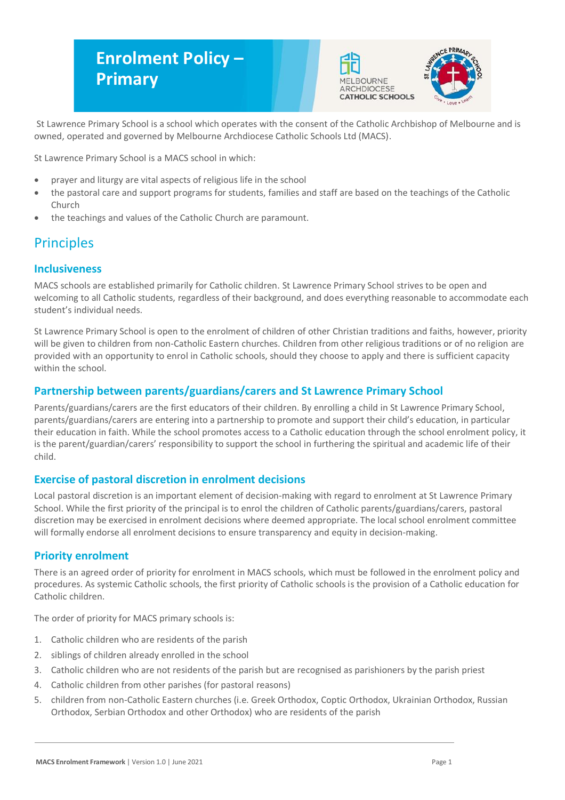# **Enrolment Policy – Primary**





St Lawrence Primary School is a school which operates with the consent of the Catholic Archbishop of Melbourne and is owned, operated and governed by Melbourne Archdiocese Catholic Schools Ltd (MACS).

St Lawrence Primary School is a MACS school in which:

- prayer and liturgy are vital aspects of religious life in the school
- the pastoral care and support programs for students, families and staff are based on the teachings of the Catholic Church
- the teachings and values of the Catholic Church are paramount.

# **Principles**

### **Inclusiveness**

MACS schools are established primarily for Catholic children. St Lawrence Primary School strives to be open and welcoming to all Catholic students, regardless of their background, and does everything reasonable to accommodate each student's individual needs.

St Lawrence Primary School is open to the enrolment of children of other Christian traditions and faiths, however, priority will be given to children from non-Catholic Eastern churches. Children from other religious traditions or of no religion are provided with an opportunity to enrol in Catholic schools, should they choose to apply and there is sufficient capacity within the school.

### **Partnership between parents/guardians/carers and St Lawrence Primary School**

Parents/guardians/carers are the first educators of their children. By enrolling a child in St Lawrence Primary School, parents/guardians/carers are entering into a partnership to promote and support their child's education, in particular their education in faith. While the school promotes access to a Catholic education through the school enrolment policy, it is the parent/guardian/carers' responsibility to support the school in furthering the spiritual and academic life of their child.

### **Exercise of pastoral discretion in enrolment decisions**

Local pastoral discretion is an important element of decision-making with regard to enrolment at St Lawrence Primary School. While the first priority of the principal is to enrol the children of Catholic parents/guardians/carers, pastoral discretion may be exercised in enrolment decisions where deemed appropriate. The local school enrolment committee will formally endorse all enrolment decisions to ensure transparency and equity in decision-making.

### **Priority enrolment**

There is an agreed order of priority for enrolment in MACS schools, which must be followed in the enrolment policy and procedures. As systemic Catholic schools, the first priority of Catholic schools is the provision of a Catholic education for Catholic children.

The order of priority for MACS primary schools is:

- 1. Catholic children who are residents of the parish
- 2. siblings of children already enrolled in the school
- 3. Catholic children who are not residents of the parish but are recognised as parishioners by the parish priest
- 4. Catholic children from other parishes (for pastoral reasons)
- 5. children from non-Catholic Eastern churches (i.e. Greek Orthodox, Coptic Orthodox, Ukrainian Orthodox, Russian Orthodox, Serbian Orthodox and other Orthodox) who are residents of the parish